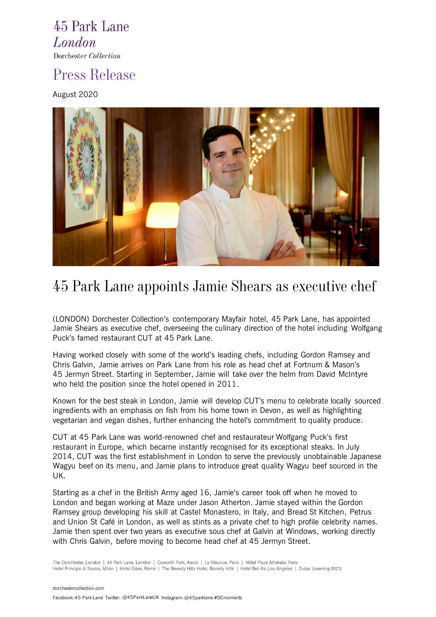45 Park Lane **London** Dorchester Collection

### Press Release

August 2020



# 45 Park Lane appoints Jamie Shears as executive chef

(LONDON) Dorchester Collection's contemporary Mayfair hotel, 45 Park Lane, has appointed Jamie Shears as executive chef, overseeing the culinary direction of the hotel including Wolfgang Puck's famed restaurant CUT at 45 Park Lane.

Having worked closely with some of the world's leading chefs, including Gordon Ramsey and Chris Galvin, Jamie arrives on Park Lane from his role as head chef at Fortnum & Mason's 45 Jermyn Street. Starting in September, Jamie will take over the helm from David McIntyre who held the position since the hotel opened in 2011.

Known for the best steak in London, Jamie will develop CUT's menu to celebrate locally sourced ingredients with an emphasis on fish from his home town in Devon, as well as highlighting vegetarian and vegan dishes, further enhancing the hotel's commitment to quality produce.

CUT at 45 Park Lane was world-renowned chef and restaurateur Wolfgang Puck's first restaurant in Europe, which became instantly recognised for its exceptional steaks. In July 2014, CUT was the first establishment in London to serve the previously unobtainable Japanese Wagyu beef on its menu, and Jamie plans to introduce great quality Wagyu beef sourced in the UK.

Starting as a chef in the British Army aged 16, Jamie's career took off when he moved to London and began working at Maze under Jason Atherton. Jamie stayed within the Gordon Ramsey group developing his skill at Castel Monastero, in Italy, and Bread St Kitchen, Petrus and Union St Café in London, as well as stints as a private chef to high profile celebrity names. Jamie then spent over two years as executive sous chef at Galvin at Windows, working directly with Chris Galvin, before moving to become head chef at 45 Jermyn Street.

The Dorchester, London | 45 Park Lane, London | Coworth Park, Ascot | Le Meurice, Paris | Hôtel Plaza Athénée, Paris Hotel Principe di Savoia, Milan | Hotel Eden, Rome | The Beverly Hills Hotel, Beverly Hills | Hotel Bel-Air, Los Angeles | Dubai (opening 2021)

[dorchestercollection.com](http://www.dorchestercollection.com/) Facebook: 45 Park Lane Twitter: @45ParkLaneUKInstagram: @45parklane #DCmoments